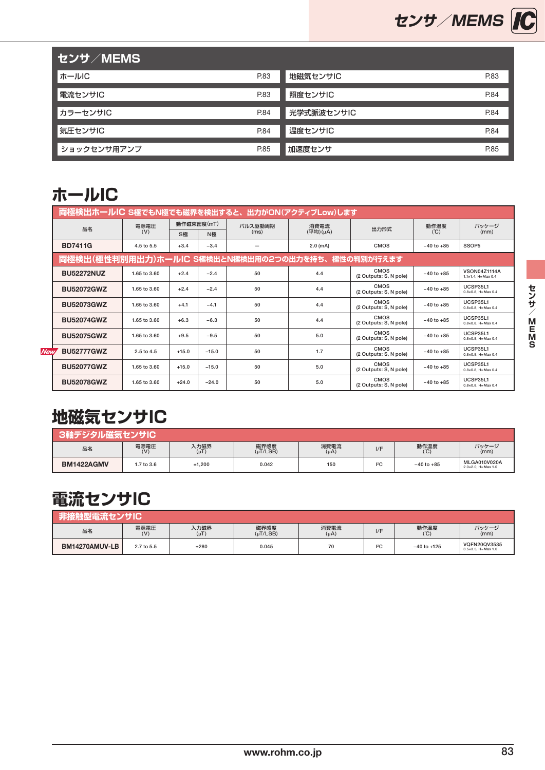

| │ センサ/MEMS │ |      | . .        |      |
|--------------|------|------------|------|
| ホールIC        | P.83 | 地磁気センサIC   | P.83 |
| 電流センサIC      | P.83 | 照度センサIC    | P.84 |
| カラーセンサIC     | P.84 | 光学式脈波センサIC | P.84 |
| 気圧センサIC      | P.84 | 温度センサIC    | P.84 |
| ショックセンサ用アンプ  | P.85 | 加速度センサ     | P.85 |

#### **ホールIC**

|            | 両極検出ホールIC S極でもN極でも磁界を検出すると、出力がON(アクティブLow)します      |              |            |            |         |            |                                |                |                                                     |
|------------|----------------------------------------------------|--------------|------------|------------|---------|------------|--------------------------------|----------------|-----------------------------------------------------|
|            | 品名                                                 | 電源電圧         | 動作磁束密度(mT) |            | バルス駆動周期 | 消費電流       | 出力形式                           | 動作温度           | パッケージ                                               |
|            |                                                    | (V)          | S極         | (ms)<br>N極 |         | (平均)(µA)   |                                | (C)            | (mm)                                                |
|            | <b>BD7411G</b>                                     | 4.5 to 5.5   | $+3.4$     | $-3.4$     |         | $2.0$ (mA) | <b>CMOS</b>                    | $-40$ to $+85$ | SSOP5                                               |
|            | 両極検出(極性判別用出力)ホールIC S極検出とN極検出用の2つの出力を持ち、 極性の判別が行えます |              |            |            |         |            |                                |                |                                                     |
|            | <b>BU52272NUZ</b>                                  | 1.65 to 3.60 | $+2.4$     | $-2.4$     | 50      | 4.4        | CMOS<br>(2 Outputs: S, N pole) | $-40$ to $+85$ | <b>VSON04Z1114A</b><br>$1.1 \times 1.4$ . H=Max 0.4 |
|            | <b>BU52072GWZ</b>                                  | 1.65 to 3.60 | $+2.4$     | $-2.4$     | 50      | 4.4        | CMOS<br>(2 Outputs: S, N pole) | $-40$ to $+85$ | UCSP35L1<br>$0.8\times0.8$ , H=Max 0.4              |
|            | <b>BU52073GWZ</b>                                  | 1.65 to 3.60 | $+4.1$     | $-4.1$     | 50      | 4.4        | CMOS<br>(2 Outputs: S, N pole) | $-40$ to $+85$ | UCSP35L1<br>$0.8\times0.8$ , H=Max 0.4              |
|            | <b>BU52074GWZ</b>                                  | 1.65 to 3.60 | $+6.3$     | $-6.3$     | 50      | 4.4        | CMOS<br>(2 Outputs: S, N pole) | $-40$ to $+85$ | UCSP35L1<br>$0.8\times0.8$ , H=Max 0.4              |
|            | <b>BU52075GWZ</b>                                  | 1.65 to 3.60 | $+9.5$     | $-9.5$     | 50      | 5.0        | CMOS<br>(2 Outputs: S, N pole) | $-40$ to $+85$ | UCSP35L1<br>$0.8\times0.8$ , H=Max 0.4              |
| <b>New</b> | <b>BU52777GWZ</b>                                  | 2.5 to 4.5   | $+15.0$    | $-15.0$    | 50      | 1.7        | CMOS<br>(2 Outputs: S, N pole) | $-40$ to $+85$ | UCSP35L1<br>$0.8\times0.8$ , H=Max 0.4              |
|            | <b>BU52077GWZ</b>                                  | 1.65 to 3.60 | $+15.0$    | $-15.0$    | 50      | 5.0        | CMOS<br>(2 Outputs: S, N pole) | $-40$ to $+85$ | UCSP35L1<br>$0.8 \times 0.8$ , H=Max 0.4            |
|            | <b>BU52078GWZ</b>                                  | 1.65 to 3.60 | $+24.0$    | $-24.0$    | 50      | 5.0        | CMOS<br>(2 Outputs: S, N pole) | $-40$ to $+85$ | UCSP35L1<br>$0.8\times0.8$ , H=Max 0.4              |

#### **地磁気センサIC**

| 3軸デジタル磁気センサIC     |                        |                   |                       |                   |     |                |                                    |  |  |  |  |
|-------------------|------------------------|-------------------|-----------------------|-------------------|-----|----------------|------------------------------------|--|--|--|--|
| 品名                | 電源電圧<br>$(\mathsf{V})$ | 入力磁界<br>$(\mu T)$ | 磁界感度<br>$(\mu$ T/LSB) | 消費電流<br>$(\mu A)$ | 1/F | 動作温度<br>(C)    | パッケージ<br>(mm)                      |  |  |  |  |
| <b>BM1422AGMV</b> | 1.7 to 3.6             | ±1,200            | 0.042                 | 150               | 12C | $-40$ to $+85$ | MLGA010V020A<br>2.0×2.0, H=Max 1.0 |  |  |  |  |

#### **電流センサIC**

| 非接触型電流センサIC    |             |                   |                       |                   |     |                 |                                              |  |  |  |
|----------------|-------------|-------------------|-----------------------|-------------------|-----|-----------------|----------------------------------------------|--|--|--|
| 品名             | 電源電圧<br>(V) | 入力磁界<br>$(\mu T)$ | 磁界感度<br>$(\mu$ T/LSB) | 消費電流<br>$(\mu A)$ | 1/F | 動作温度<br>(C)     | パッケージ<br>(mm)                                |  |  |  |
| BM14270AMUV-LB | 2.7 to 5.5  | ±280              | 0.045                 | 70                | 12C | $-40$ to $+125$ | VQFN20QV3535<br>$3.5 \times 3.5$ , H=Max 1.0 |  |  |  |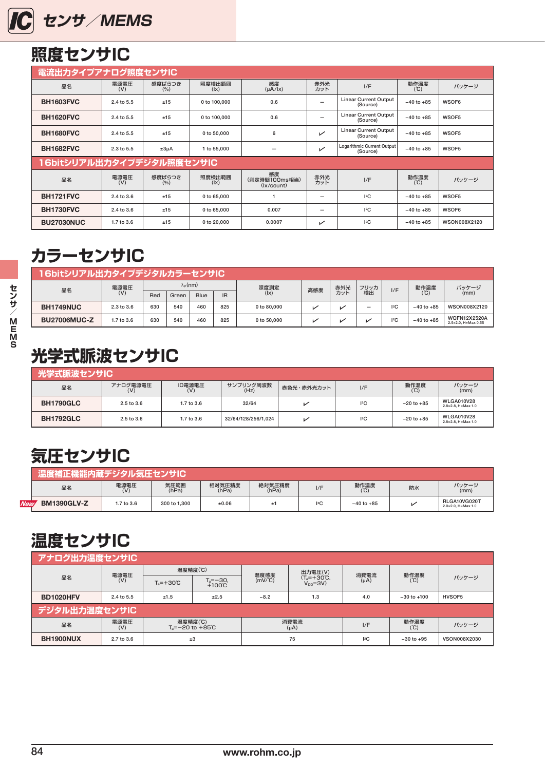<span id="page-1-0"></span>

## **照度センサIC**

|                           | 電流出力タイプアナログ照度センサIC |                 |                         |                                   |            |                                          |                |              |  |  |  |
|---------------------------|--------------------|-----------------|-------------------------|-----------------------------------|------------|------------------------------------------|----------------|--------------|--|--|--|
| 品名                        | 電源電圧<br>(V)        | 感度ばらつき<br>(9/0) | 照度検出範囲<br>$( x\rangle)$ | 感度<br>$(\mu A/IX)$                | 赤外光<br>カット | I/F                                      | 動作温度<br>(C)    | パッケージ        |  |  |  |
| <b>BH1603FVC</b>          | 2.4 to 5.5         | ±15             | 0 to 100,000            | 0.6                               |            | <b>Linear Current Output</b><br>(Source) | $-40$ to $+85$ | WSOF6        |  |  |  |
| <b>BH1620FVC</b>          | 2.4 to 5.5         | ±15             | 0 to 100,000            | 0.6                               |            | <b>Linear Current Output</b><br>(Source) | $-40$ to $+85$ | WSOF5        |  |  |  |
| <b>BH1680FVC</b>          | 2.4 to 5.5         | ±15             | 0 to 50,000             | 6                                 | V          | <b>Linear Current Output</b><br>(Source) | $-40$ to $+85$ | WSOF5        |  |  |  |
| <b>BH1682FVC</b>          | $2.3$ to $5.5$     | $±3\mu A$       | 1 to 55,000             | -                                 | ↙          | Logarithmic Current Output<br>(Source)   | $-40$ to $+85$ | WSOF5        |  |  |  |
| 16bitシリアル出力タイプデジタル照度センサIC |                    |                 |                         |                                   |            |                                          |                |              |  |  |  |
| 品名                        | 電源電圧<br>(V)        | 感度ばらつき<br>(9/6) | 照度検出範囲<br>$( x\rangle)$ | 感度<br>(測定時間100ms相当)<br>(lx/count) | 赤外光<br>カット | I/F                                      | 動作温度<br>(C)    | パッケージ        |  |  |  |
| <b>BH1721FVC</b>          | 2.4 to 3.6         | ±15             | 0 to 65,000             |                                   | -          | 12C                                      | $-40$ to $+85$ | WSOF5        |  |  |  |
| <b>BH1730FVC</b>          | 2.4 to 3.6         | ±15             | 0 to 65,000             | 0.007                             | -          | 12C                                      | $-40$ to $+85$ | WSOF6        |  |  |  |
| <b>BU27030NUC</b>         | 1.7 to 3.6         | ±15             | 0 to 20,000             | 0.0007                            | ↙          | 2C                                       | $-40$ to $+85$ | WSON008X2120 |  |  |  |

#### **カラーセンサIC**

| 16bitシリアル出力タイプデジタルカラーセンサIC |            |                     |       |      |           |               |     |     |      |     |                |                                            |
|----------------------------|------------|---------------------|-------|------|-----------|---------------|-----|-----|------|-----|----------------|--------------------------------------------|
| 品名                         | 電源電圧       | λ <sub>Ρ</sub> (nm) |       |      |           | 照度測定          | 高感度 | 赤外光 | フリッカ | I/F | 動作温度           | パッケージ                                      |
|                            | (V)        | Red                 | Green | Blue | <b>IR</b> | $( x\rangle)$ |     | カット | 検出   |     | (C)            | (mm)                                       |
| BH1749NUC                  | 2.3 to 3.6 | 630                 | 540   | 460  | 825       | 0 to 80,000   | М   |     | -    | 12C | $-40$ to $+85$ | WSON008X2120                               |
| <b>BU27006MUC-Z</b>        | 1.7 to 3.6 | 630                 | 540   | 460  | 825       | 0 to 50,000   | И   |     | ↙    | 12C | $-40$ to $+85$ | <b>WQFN12X2520A</b><br>2.5×2.0. H=Max 0.55 |

# **光学式脈波センサIC**

| <b> 光学式脈波センサIC </b> |                 |               |                     |            |     |                |                                                   |  |  |  |
|---------------------|-----------------|---------------|---------------------|------------|-----|----------------|---------------------------------------------------|--|--|--|
| 品名                  | アナログ電源電圧<br>(V) | 10電源電圧<br>(V) | サンプリング周波数<br>(Hz)   | 赤色光・赤外光カット | I/F | 動作温度<br>(°C)   | パッケージ<br>(mm)                                     |  |  |  |
| <b>BH1790GLC</b>    | 2.5 to 3.6      | 1.7 to 3.6    | 32/64               | ↙          | 12C | $-20$ to $+85$ | <b>WLGA010V28</b><br>$2.8 \times 2.8$ , H=Max 1.0 |  |  |  |
| <b>BH1792GLC</b>    | 2.5 to 3.6      | 1.7 to 3.6    | 32/64/128/256/1.024 |            | 12C | $-20$ to $+85$ | <b>WLGA010V28</b><br>$2.8 \times 2.8$ , H=Max 1.0 |  |  |  |

## **気圧センサIC**

|            | 温度補正機能内蔵デジタル気圧センサIC , |             |               |                 |                 |             |                |    |                                              |  |  |
|------------|-----------------------|-------------|---------------|-----------------|-----------------|-------------|----------------|----|----------------------------------------------|--|--|
|            | 品名                    | 電源電圧<br>(V) | 気圧範囲<br>(hPa) | 相対気圧精度<br>(hPa) | 絶対気圧精度<br>(hPa) | I/F         | 動作温度<br>(°C)   | 防水 | パッケージ<br>(mm)                                |  |  |
| <b>New</b> | <b>BM1390GLV-Z</b>    | 1.7 to 3.6  | 300 to 1.300  | ±0.06           |                 | ${}^{12}$ C | $-40$ to $+85$ |    | RLGA10VG020T<br>$2.0 \times 2.0$ , H=Max 1.0 |  |  |

#### **温度センサIC**

|           | <b>  アナログ出力温度センサIC</b> |                                           |                            |                   |                                          |           |                 |              |  |  |  |  |
|-----------|------------------------|-------------------------------------------|----------------------------|-------------------|------------------------------------------|-----------|-----------------|--------------|--|--|--|--|
|           | 電源電圧                   | 温度精度(℃)                                   |                            | 温度感度              | 出力電圧(V)                                  | 消費電流      |                 |              |  |  |  |  |
| 品名        | (V)                    | $T_e = +30^{\circ}C$                      | $T_a = -30, +100^{\circ}C$ | $(mV)^{\circ}C$   | $(T_a = +30^{\circ}C,$<br>$V_{DD} = 3V)$ | $(\mu A)$ | 動作温度<br>(℃)     | パッケージ        |  |  |  |  |
| BD1020HFV | 2.4 to 5.5             | ±1.5<br>±2.5                              |                            | $-8.2$            | 1.3                                      | 4.0       | $-30$ to $+100$ | HVSOF5       |  |  |  |  |
|           | デジタル出力温度センサIC          |                                           |                            |                   |                                          |           |                 |              |  |  |  |  |
| 品名        | 電源電圧<br>(V)            | 温度精度(℃)<br>$T_s = -20$ to $+85^{\circ}$ C |                            | 消費電流<br>$(\mu A)$ |                                          | I/F       | 動作温度<br>(C)     | パッケージ        |  |  |  |  |
| BH1900NUX | 2.7 to 3.6             | ±3                                        |                            | 75                |                                          | 2C        | $-30$ to $+95$  | VSON008X2030 |  |  |  |  |